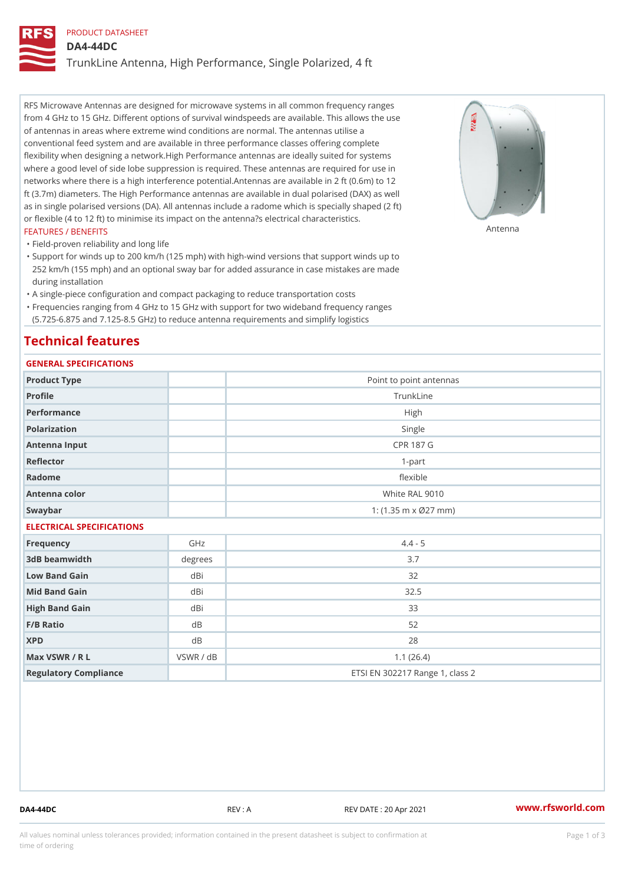## PRODUCT DATASHEET

DA4-44DC

TrunkLine Antenna, High Performance, Single Polarized, 4 ft

RFS Microwave Antennas are designed for microwave systems in all common frequency ranges from 4 GHz to 15 GHz. Different options of survival windspeeds are available. This allows the use of antennas in areas where extreme wind conditions are normal. The antennas utilise a conventional feed system and are available in three performance classes offering complete flexibility when designing a network.High Performance antennas are ideally suited for systems where a good level of side lobe suppression is required. These antennas are required for use in networks where there is a high interference potential.Antennas are available in 2 ft (0.6m) to 12 ft (3.7m) diameters. The High Performance antennas are available in dual polarised (DAX) as well as in single polarised versions (DA). All antennas include a radome which is specially shaped (2 ft) or flexible (4 to 12 ft) to minimise its impact on the antenna?s electrical characteristics. FEATURES / BENEFITS Antenna

"Field-proven reliability and long life

Support for winds up to 200 km/h (125 mph) with high-wind versions that support winds up to " 252 km/h (155 mph) and an optional sway bar for added assurance in case mistakes are made during installation

"A single-piece configuration and compact packaging to reduce transportation costs

Frequencies ranging from 4 GHz to 15 GHz with support for two wideband frequency ranges " (5.725-6.875 and 7.125-8.5 GHz) to reduce antenna requirements and simplify logistics

# Technical features

## GENERAL SPECIFICATIONS

| Product Type              | Point to point antennas           |                                 |  |  |
|---------------------------|-----------------------------------|---------------------------------|--|--|
| Profile                   | TrunkLine                         |                                 |  |  |
| Performance               | High                              |                                 |  |  |
| Polarization              | Single                            |                                 |  |  |
| Antenna Input             | CPR 187 G                         |                                 |  |  |
| Reflector                 | $1 - p$ art                       |                                 |  |  |
| Radome                    | flexible                          |                                 |  |  |
| Antenna color             | White RAL 9010                    |                                 |  |  |
| Swaybar                   | 1: $(1.35 \, m \times 027 \, mm)$ |                                 |  |  |
| ELECTRICAL SPECIFICATIONS |                                   |                                 |  |  |
| Frequency                 | GHz                               | $4.4 - 5$                       |  |  |
| 3dB beamwidth             | degrees                           | 3.7                             |  |  |
| Low Band Gain             | dBi                               | 32                              |  |  |
| Mid Band Gain             | dBi                               | $32.5$                          |  |  |
| High Band Gain            | dBi                               | 33                              |  |  |
| $F/B$ Ratio               | d B                               | 52                              |  |  |
| <b>XPD</b>                | d B                               | 28                              |  |  |
| Max VSWR / R L            | VSWR / dB                         | 1.1(26.4)                       |  |  |
| Regulatory Compliance     |                                   | ETSI EN 302217 Range 1, class 2 |  |  |

DA4-44DC REV : A REV DATE : 20 Apr 2021 [www.](https://www.rfsworld.com)rfsworld.com

All values nominal unless tolerances provided; information contained in the present datasheet is subject to Pcapgeign mation time of ordering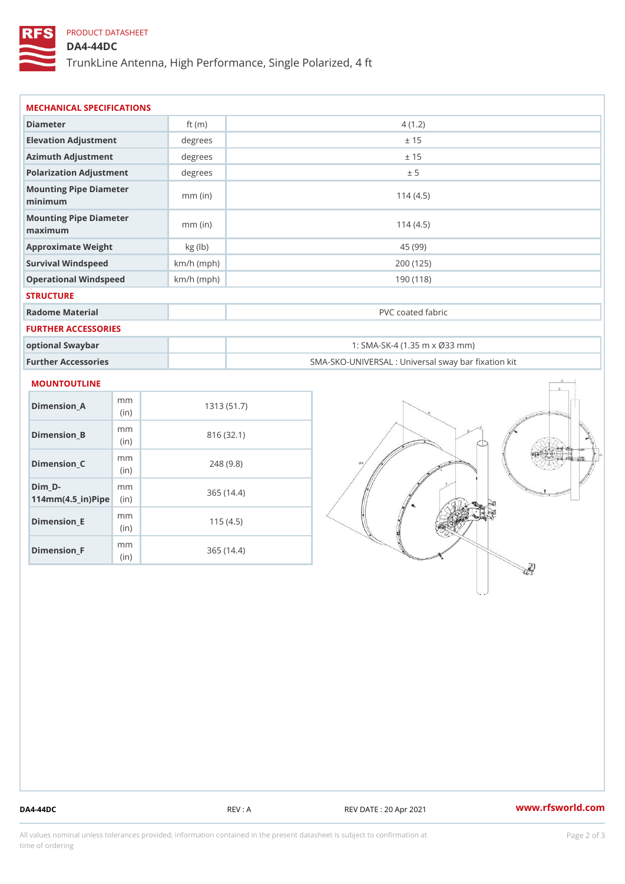# PRODUCT DATASHEET

## DA4-44DC

TrunkLine Antenna, High Performance, Single Polarized, 4 ft

| Diameter                          | ft $(m)$     | 4(1.2)                                            |
|-----------------------------------|--------------|---------------------------------------------------|
| Elevation Adjustment              | degrees      | ± 15                                              |
| Azimuth Adjustment                | degrees      | ± 15                                              |
| Polarization Adjustment           | degrees      | ± 5                                               |
| Mounting Pipe Diameter<br>minimum | $mm$ (in)    | 114(4.5)                                          |
| Mounting Pipe Diameter<br>maximum | $mm$ (in)    | 114(4.5)                                          |
| Approximate Weight                | kg (lb)      | 45 (99)                                           |
| Survival Windspeed                | $km/h$ (mph) | 200 (125)                                         |
| Operational Windspeed             | $km/h$ (mph) | 190 (118)                                         |
| <b>STRUCTURE</b>                  |              |                                                   |
| Radome Material                   |              | PVC coated fabric                                 |
| FURTHER ACCESSORIES               |              |                                                   |
| optional Swaybar                  |              | 1: SMA-SK-4 (1.35 m x Ø33 mm)                     |
| Further Accessories               |              | SMA-SKO-UNIVERSAL : Universal sway bar fixation l |

| Dimension A                       | m m<br>(in)  | 1313 (51.7) |
|-----------------------------------|--------------|-------------|
| Dimension B                       | m m<br>(i n) | 816 (32.1)  |
| Dimension C                       | m m<br>(i n) | 248(9.8)    |
| Dim D-<br>$114mm(4.5_{ir})$ $Rip$ | m m          | 365(14.4)   |
| Dimension E                       | m m<br>(i n) | 115(4.5)    |
| Dimension <sub>_F</sub>           | m m<br>(in   | 365 (14.4)  |

DA4-44DC REV : A REV : A REV DATE : 20 Apr 2021 WWW.rfsworld.com